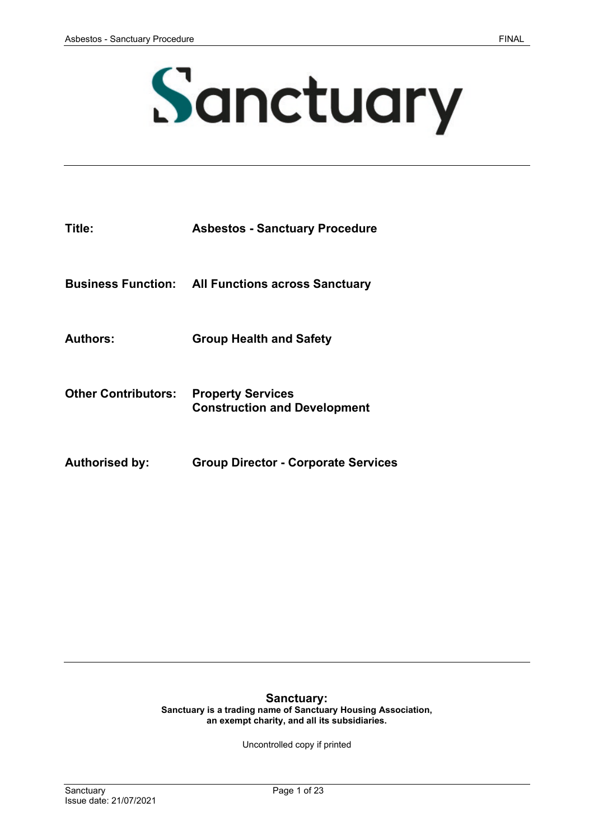# Sanctuary

| Title:                     | <b>Asbestos - Sanctuary Procedure</b>                           |
|----------------------------|-----------------------------------------------------------------|
|                            | <b>Business Function:</b> All Functions across Sanctuary        |
| <b>Authors:</b>            | <b>Group Health and Safety</b>                                  |
| <b>Other Contributors:</b> | <b>Property Services</b><br><b>Construction and Development</b> |
| <b>Authorised by:</b>      | <b>Group Director - Corporate Services</b>                      |

#### **Sanctuary: Sanctuary is a trading name of Sanctuary Housing Association, an exempt charity, and all its subsidiaries.**

Uncontrolled copy if printed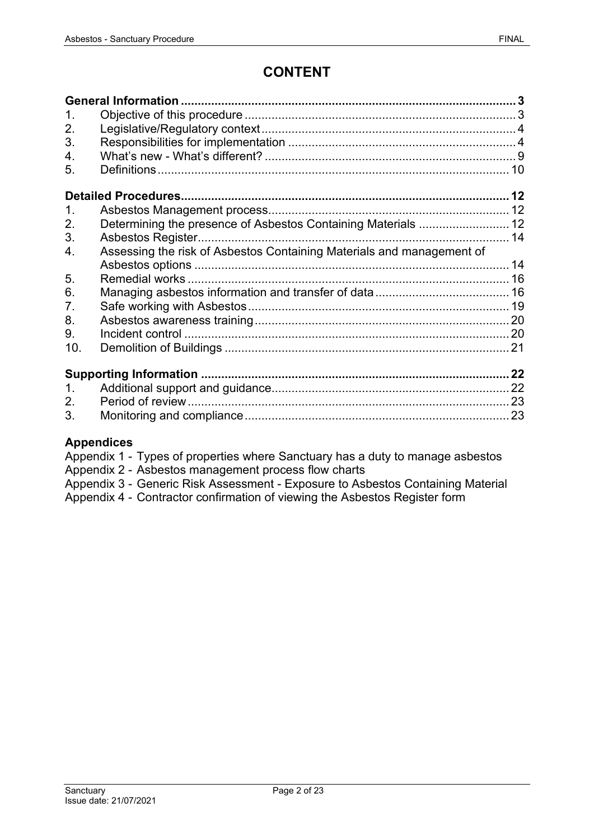# **CONTENT**

| 1.             |                                                                       |  |
|----------------|-----------------------------------------------------------------------|--|
| 2.             |                                                                       |  |
| 3.             |                                                                       |  |
| 4.             |                                                                       |  |
| 5.             |                                                                       |  |
|                |                                                                       |  |
| 1.             |                                                                       |  |
| 2.             |                                                                       |  |
| 3.             |                                                                       |  |
| 4.             | Assessing the risk of Asbestos Containing Materials and management of |  |
|                |                                                                       |  |
| 5.             |                                                                       |  |
| 6.             |                                                                       |  |
| 7.             |                                                                       |  |
| 8.             |                                                                       |  |
| 9.             |                                                                       |  |
| 10.            |                                                                       |  |
|                |                                                                       |  |
| 1 <sub>1</sub> |                                                                       |  |
| 2.             |                                                                       |  |
| 3.             |                                                                       |  |

## **Appendices**

Appendix 1 - Types of properties where Sanctuary has a duty to manage asbestos

Appendix 2 - Asbestos management process flow charts

- Appendix 3 Generic Risk Assessment Exposure to Asbestos Containing Material
- Appendix 4 Contractor confirmation of viewing the Asbestos Register form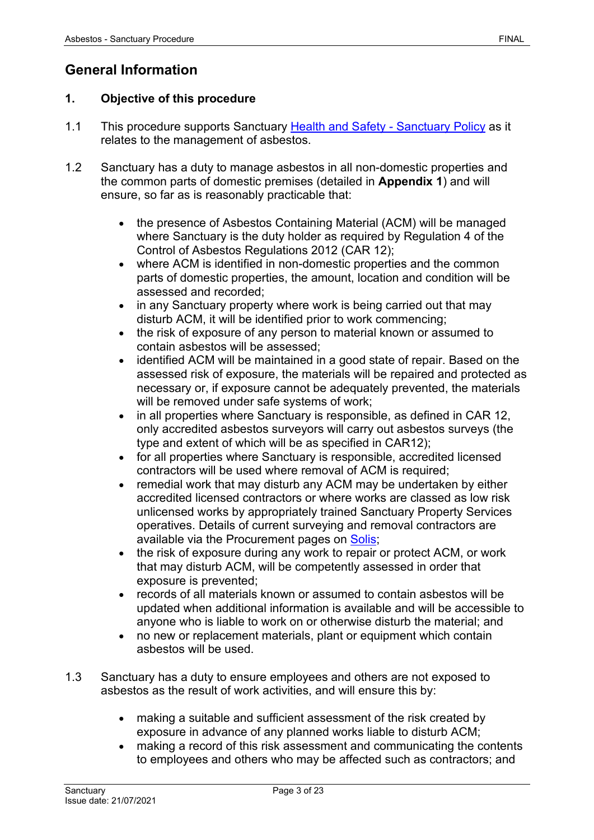# <span id="page-2-0"></span>**General Information**

# <span id="page-2-1"></span>**1. Objective of this procedure**

- 1.1 This procedure supports Sanctuary [Health and Safety -](https://solis/PolicyManagement/policy/Policies/Forms/Policy%20Document%20Set/docsethomepage.aspx?ID=5381&FolderCTID=0x0120D52000DE99EA054D4DF944BE591D81E49729D0008C670BDB86BED740B0B89E295CD8357C&List=a03723e1-d48b-4958-9669-9b86a90ef8b0&RootFolder=%2FPolicyManagement%2Fpolicy%2FPolicies%2FHealth%20and%20Safety%20%2D%20Group&RecSrc=%2FPolicyManagement%2Fpolicy%2FPolicies%2FHealth%20and%20Safety%20%2D%20Group) Sanctuary Policy as it relates to the management of asbestos.
- 1.2 Sanctuary has a duty to manage asbestos in all non-domestic properties and the common parts of domestic premises (detailed in **Appendix 1**) and will ensure, so far as is reasonably practicable that:
	- the presence of Asbestos Containing Material (ACM) will be managed where Sanctuary is the duty holder as required by Regulation 4 of the Control of Asbestos Regulations 2012 (CAR 12);
	- where ACM is identified in non-domestic properties and the common parts of domestic properties, the amount, location and condition will be assessed and recorded;
	- in any Sanctuary property where work is being carried out that may disturb ACM, it will be identified prior to work commencing;
	- the risk of exposure of any person to material known or assumed to contain asbestos will be assessed;
	- identified ACM will be maintained in a good state of repair. Based on the assessed risk of exposure, the materials will be repaired and protected as necessary or, if exposure cannot be adequately prevented, the materials will be removed under safe systems of work;
	- in all properties where Sanctuary is responsible, as defined in CAR 12, only accredited asbestos surveyors will carry out asbestos surveys (the type and extent of which will be as specified in CAR12);
	- for all properties where Sanctuary is responsible, accredited licensed contractors will be used where removal of ACM is required;
	- remedial work that may disturb any ACM may be undertaken by either accredited licensed contractors or where works are classed as low risk unlicensed works by appropriately trained Sanctuary Property Services operatives. Details of current surveying and removal contractors are available via the Procurement pages on [Solis;](https://solis/SG/PServices/goods-services-suppliers/Pages/Supplier%20Directory.aspx)
	- the risk of exposure during any work to repair or protect ACM, or work that may disturb ACM, will be competently assessed in order that exposure is prevented;
	- records of all materials known or assumed to contain asbestos will be updated when additional information is available and will be accessible to anyone who is liable to work on or otherwise disturb the material; and
	- no new or replacement materials, plant or equipment which contain asbestos will be used.
- 1.3 Sanctuary has a duty to ensure employees and others are not exposed to asbestos as the result of work activities, and will ensure this by:
	- making a suitable and sufficient assessment of the risk created by exposure in advance of any planned works liable to disturb ACM;
	- making a record of this risk assessment and communicating the contents to employees and others who may be affected such as contractors; and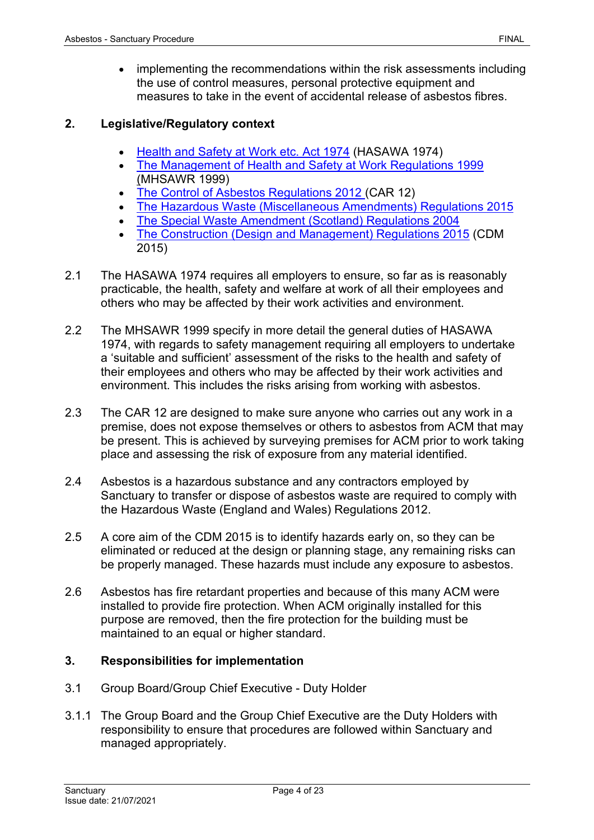• implementing the recommendations within the risk assessments including the use of control measures, personal protective equipment and measures to take in the event of accidental release of asbestos fibres.

## <span id="page-3-0"></span>**2. Legislative/Regulatory context**

- [Health and Safety at Work etc. Act 1974](http://www.legislation.gov.uk/ukpga/1974/37/contents) (HASAWA 1974)
- [The Management of Health and Safety at Work Regulations 1999](http://www.legislation.gov.uk/uksi/1999/3242/contents/made) (MHSAWR 1999)
- [The Control of Asbestos Regulations 2012](http://www.legislation.gov.uk/uksi/2012/632/contents/made) (CAR 12)
- [The Hazardous Waste \(Miscellaneous Amendments\) Regulations 2015](https://www.legislation.gov.uk/uksi/2015/1360/contents/made)
- [The Special Waste Amendment \(Scotland\) Regulations 2004](http://www.legislation.gov.uk/ssi/2004/112/contents/made)
- [The Construction \(Design and Management\) Regulations 2015](http://www.legislation.gov.uk/uksi/2015/51/contents/made) (CDM 2015)
- 2.1 The HASAWA 1974 requires all employers to ensure, so far as is reasonably practicable, the health, safety and welfare at work of all their employees and others who may be affected by their work activities and environment.
- 2.2 The MHSAWR 1999 specify in more detail the general duties of HASAWA 1974, with regards to safety management requiring all employers to undertake a 'suitable and sufficient' assessment of the risks to the health and safety of their employees and others who may be affected by their work activities and environment. This includes the risks arising from working with asbestos.
- 2.3 The CAR 12 are designed to make sure anyone who carries out any work in a premise, does not expose themselves or others to asbestos from ACM that may be present. This is achieved by surveying premises for ACM prior to work taking place and assessing the risk of exposure from any material identified.
- 2.4 Asbestos is a hazardous substance and any contractors employed by Sanctuary to transfer or dispose of asbestos waste are required to comply with the Hazardous Waste (England and Wales) Regulations 2012.
- 2.5 A core aim of the CDM 2015 is to identify hazards early on, so they can be eliminated or reduced at the design or planning stage, any remaining risks can be properly managed. These hazards must include any exposure to asbestos.
- 2.6 Asbestos has fire retardant properties and because of this many ACM were installed to provide fire protection. When ACM originally installed for this purpose are removed, then the fire protection for the building must be maintained to an equal or higher standard.

# <span id="page-3-1"></span>**3. Responsibilities for implementation**

- 3.1 Group Board/Group Chief Executive Duty Holder
- 3.1.1 The Group Board and the Group Chief Executive are the Duty Holders with responsibility to ensure that procedures are followed within Sanctuary and managed appropriately.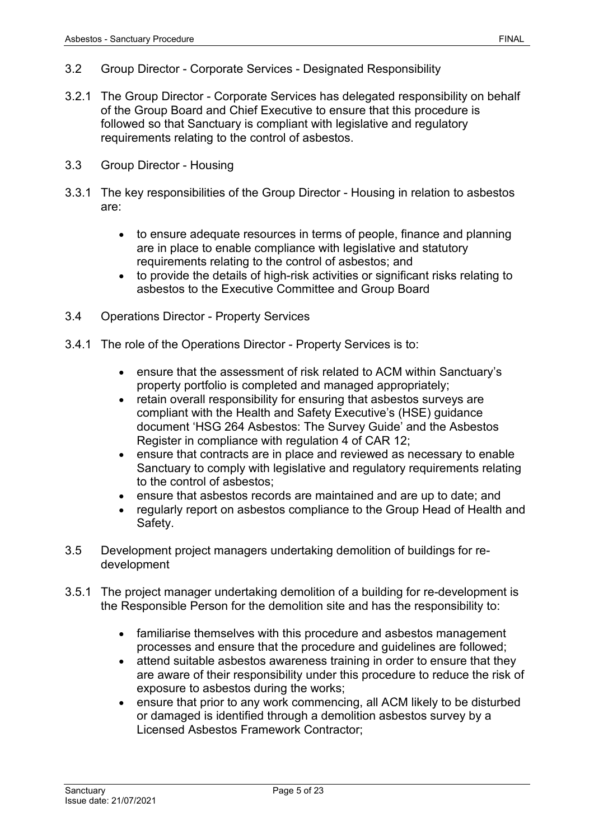- 3.2 Group Director Corporate Services Designated Responsibility
- 3.2.1 The Group Director Corporate Services has delegated responsibility on behalf of the Group Board and Chief Executive to ensure that this procedure is followed so that Sanctuary is compliant with legislative and regulatory requirements relating to the control of asbestos.
- 3.3 Group Director Housing
- 3.3.1 The key responsibilities of the Group Director Housing in relation to asbestos are:
	- to ensure adequate resources in terms of people, finance and planning are in place to enable compliance with legislative and statutory requirements relating to the control of asbestos; and
	- to provide the details of high-risk activities or significant risks relating to asbestos to the Executive Committee and Group Board
- 3.4 Operations Director Property Services
- 3.4.1 The role of the Operations Director Property Services is to:
	- ensure that the assessment of risk related to ACM within Sanctuary's property portfolio is completed and managed appropriately;
	- retain overall responsibility for ensuring that asbestos surveys are compliant with the Health and Safety Executive's (HSE) guidance document 'HSG 264 Asbestos: The Survey Guide' and the Asbestos Register in compliance with regulation 4 of CAR 12;
	- ensure that contracts are in place and reviewed as necessary to enable Sanctuary to comply with legislative and regulatory requirements relating to the control of asbestos;
	- ensure that asbestos records are maintained and are up to date; and
	- regularly report on asbestos compliance to the Group Head of Health and Safety.
- 3.5 Development project managers undertaking demolition of buildings for redevelopment
- 3.5.1 The project manager undertaking demolition of a building for re-development is the Responsible Person for the demolition site and has the responsibility to:
	- familiarise themselves with this procedure and asbestos management processes and ensure that the procedure and guidelines are followed;
	- attend suitable asbestos awareness training in order to ensure that they are aware of their responsibility under this procedure to reduce the risk of exposure to asbestos during the works;
	- ensure that prior to any work commencing, all ACM likely to be disturbed or damaged is identified through a demolition asbestos survey by a Licensed Asbestos Framework Contractor;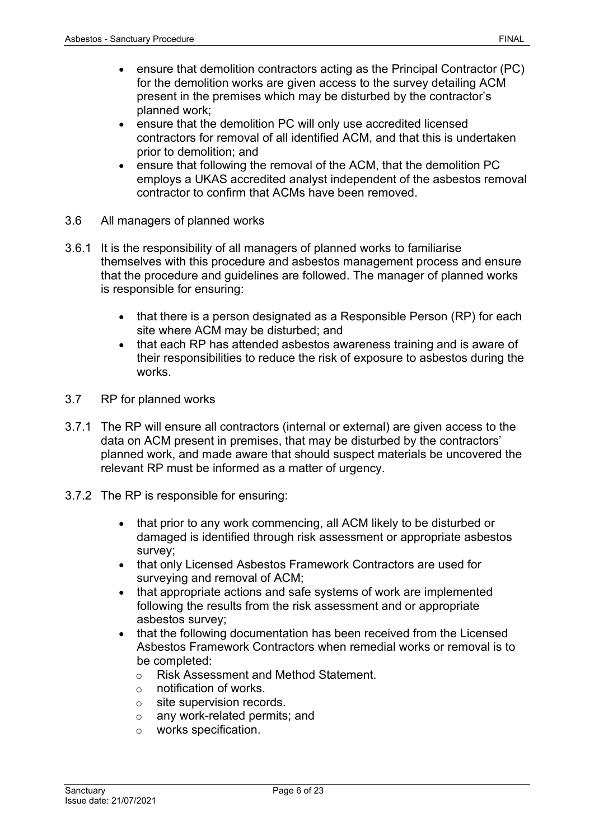- ensure that demolition contractors acting as the Principal Contractor (PC) for the demolition works are given access to the survey detailing ACM present in the premises which may be disturbed by the contractor's planned work;
- ensure that the demolition PC will only use accredited licensed contractors for removal of all identified ACM, and that this is undertaken prior to demolition; and
- ensure that following the removal of the ACM, that the demolition PC employs a UKAS accredited analyst independent of the asbestos removal contractor to confirm that ACMs have been removed.
- 3.6 All managers of planned works
- 3.6.1 It is the responsibility of all managers of planned works to familiarise themselves with this procedure and asbestos management process and ensure that the procedure and guidelines are followed. The manager of planned works is responsible for ensuring:
	- that there is a person designated as a Responsible Person (RP) for each site where ACM may be disturbed; and
	- that each RP has attended asbestos awareness training and is aware of their responsibilities to reduce the risk of exposure to asbestos during the works.
- 3.7 RP for planned works
- 3.7.1 The RP will ensure all contractors (internal or external) are given access to the data on ACM present in premises, that may be disturbed by the contractors' planned work, and made aware that should suspect materials be uncovered the relevant RP must be informed as a matter of urgency.
- 3.7.2 The RP is responsible for ensuring:
	- that prior to any work commencing, all ACM likely to be disturbed or damaged is identified through risk assessment or appropriate asbestos survey;
	- that only Licensed Asbestos Framework Contractors are used for surveying and removal of ACM;
	- that appropriate actions and safe systems of work are implemented following the results from the risk assessment and or appropriate asbestos survey;
	- that the following documentation has been received from the Licensed Asbestos Framework Contractors when remedial works or removal is to be completed:
		- o Risk Assessment and Method Statement.
		- o notification of works.
		- $\circ$  site supervision records.
		- o any work-related permits; and
		- o works specification.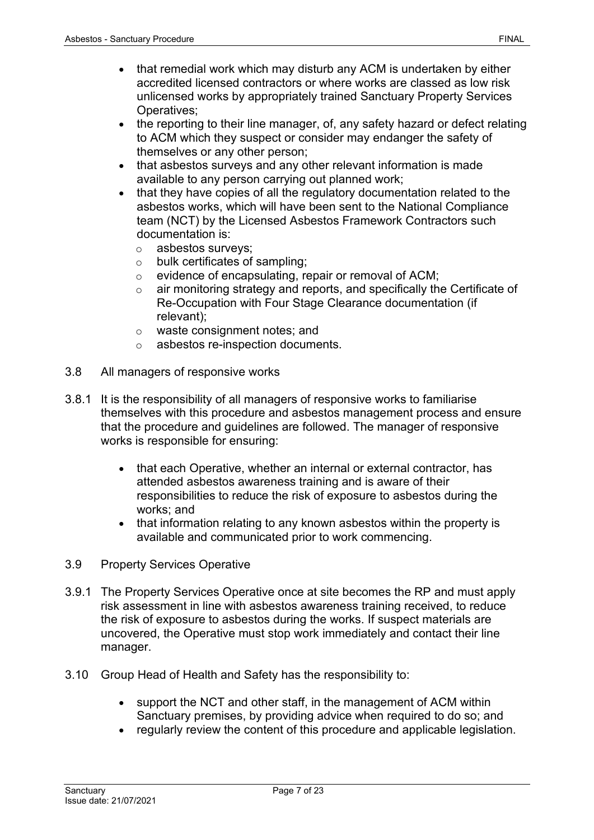- that remedial work which may disturb any ACM is undertaken by either accredited licensed contractors or where works are classed as low risk unlicensed works by appropriately trained Sanctuary Property Services Operatives;
- the reporting to their line manager, of, any safety hazard or defect relating to ACM which they suspect or consider may endanger the safety of themselves or any other person;
- that asbestos surveys and any other relevant information is made available to any person carrying out planned work;
- that they have copies of all the regulatory documentation related to the asbestos works, which will have been sent to the National Compliance team (NCT) by the Licensed Asbestos Framework Contractors such documentation is:
	- ⊙ asbestos surveys;<br>○ bulk certificates of
	- bulk certificates of sampling;
	- $\circ$  evidence of encapsulating, repair or removal of ACM;<br> $\circ$  air monitoring strategy and reports, and specifically the
	- air monitoring strategy and reports, and specifically the Certificate of Re-Occupation with Four Stage Clearance documentation (if relevant);
	- o waste consignment notes; and
	- o asbestos re-inspection documents.
- 3.8 All managers of responsive works
- 3.8.1 It is the responsibility of all managers of responsive works to familiarise themselves with this procedure and asbestos management process and ensure that the procedure and guidelines are followed. The manager of responsive works is responsible for ensuring:
	- that each Operative, whether an internal or external contractor, has attended asbestos awareness training and is aware of their responsibilities to reduce the risk of exposure to asbestos during the works; and
	- that information relating to any known asbestos within the property is available and communicated prior to work commencing.
- 3.9 Property Services Operative
- 3.9.1 The Property Services Operative once at site becomes the RP and must apply risk assessment in line with asbestos awareness training received, to reduce the risk of exposure to asbestos during the works. If suspect materials are uncovered, the Operative must stop work immediately and contact their line manager.
- 3.10 Group Head of Health and Safety has the responsibility to:
	- support the NCT and other staff, in the management of ACM within Sanctuary premises, by providing advice when required to do so; and
	- regularly review the content of this procedure and applicable legislation.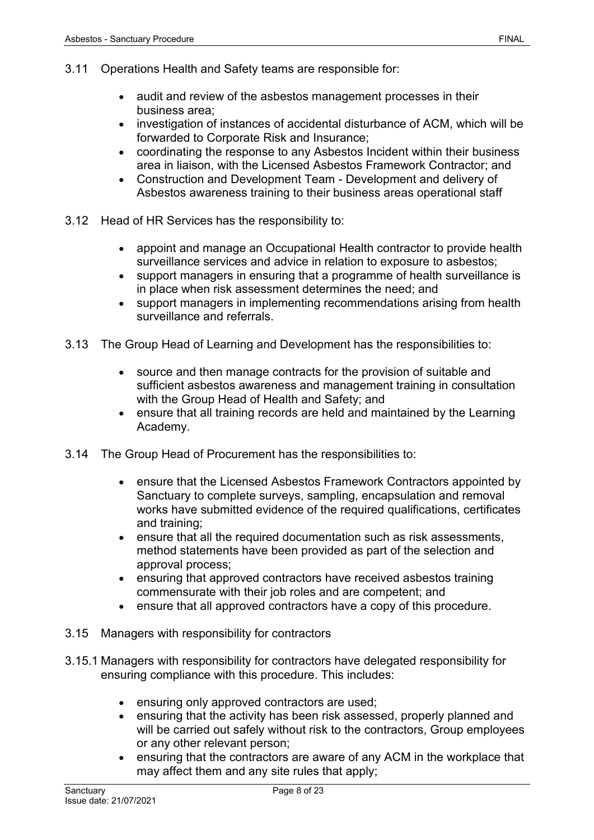- 3.11 Operations Health and Safety teams are responsible for:
	- audit and review of the asbestos management processes in their business area;
	- investigation of instances of accidental disturbance of ACM, which will be forwarded to Corporate Risk and Insurance;
	- coordinating the response to any Asbestos Incident within their business area in liaison, with the Licensed Asbestos Framework Contractor; and
	- Construction and Development Team Development and delivery of Asbestos awareness training to their business areas operational staff
- 3.12 Head of HR Services has the responsibility to:
	- appoint and manage an Occupational Health contractor to provide health surveillance services and advice in relation to exposure to asbestos;
	- support managers in ensuring that a programme of health surveillance is in place when risk assessment determines the need; and
	- support managers in implementing recommendations arising from health surveillance and referrals.
- 3.13 The Group Head of Learning and Development has the responsibilities to:
	- source and then manage contracts for the provision of suitable and sufficient asbestos awareness and management training in consultation with the Group Head of Health and Safety; and
	- ensure that all training records are held and maintained by the Learning Academy.
- 3.14 The Group Head of Procurement has the responsibilities to:
	- ensure that the Licensed Asbestos Framework Contractors appointed by Sanctuary to complete surveys, sampling, encapsulation and removal works have submitted evidence of the required qualifications, certificates and training;
	- ensure that all the required documentation such as risk assessments, method statements have been provided as part of the selection and approval process;
	- ensuring that approved contractors have received asbestos training commensurate with their job roles and are competent; and
	- ensure that all approved contractors have a copy of this procedure.
- 3.15 Managers with responsibility for contractors
- 3.15.1 Managers with responsibility for contractors have delegated responsibility for ensuring compliance with this procedure. This includes:
	- ensuring only approved contractors are used;
	- ensuring that the activity has been risk assessed, properly planned and will be carried out safely without risk to the contractors, Group employees or any other relevant person;
	- ensuring that the contractors are aware of any ACM in the workplace that may affect them and any site rules that apply;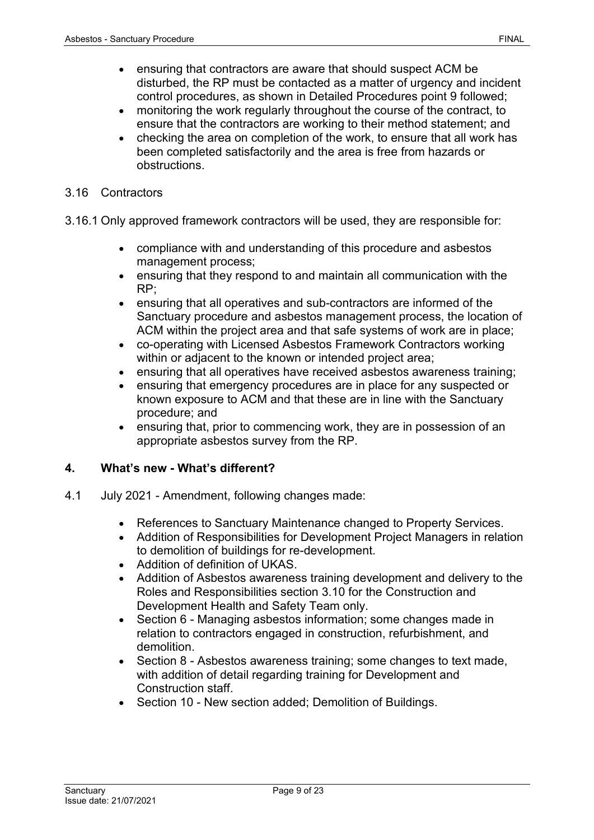- ensuring that contractors are aware that should suspect ACM be disturbed, the RP must be contacted as a matter of urgency and incident control procedures, as shown in Detailed Procedures point 9 followed;
- monitoring the work regularly throughout the course of the contract, to ensure that the contractors are working to their method statement; and
- checking the area on completion of the work, to ensure that all work has been completed satisfactorily and the area is free from hazards or obstructions.
- 3.16 Contractors
- 3.16.1 Only approved framework contractors will be used, they are responsible for:
	- compliance with and understanding of this procedure and asbestos management process;
	- ensuring that they respond to and maintain all communication with the RP;
	- ensuring that all operatives and sub-contractors are informed of the Sanctuary procedure and asbestos management process, the location of ACM within the project area and that safe systems of work are in place;
	- co-operating with Licensed Asbestos Framework Contractors working within or adjacent to the known or intended project area;
	- ensuring that all operatives have received asbestos awareness training;
	- ensuring that emergency procedures are in place for any suspected or known exposure to ACM and that these are in line with the Sanctuary procedure; and
	- ensuring that, prior to commencing work, they are in possession of an appropriate asbestos survey from the RP.

## <span id="page-8-0"></span>**4. What's new - What's different?**

- 4.1 July 2021 Amendment, following changes made:
	- References to Sanctuary Maintenance changed to Property Services.
	- Addition of Responsibilities for Development Project Managers in relation to demolition of buildings for re-development.
	- Addition of definition of UKAS.
	- Addition of Asbestos awareness training development and delivery to the Roles and Responsibilities section 3.10 for the Construction and Development Health and Safety Team only.
	- Section 6 Managing asbestos information; some changes made in relation to contractors engaged in construction, refurbishment, and demolition.
	- Section 8 Asbestos awareness training; some changes to text made, with addition of detail regarding training for Development and Construction staff.
	- Section 10 New section added; Demolition of Buildings.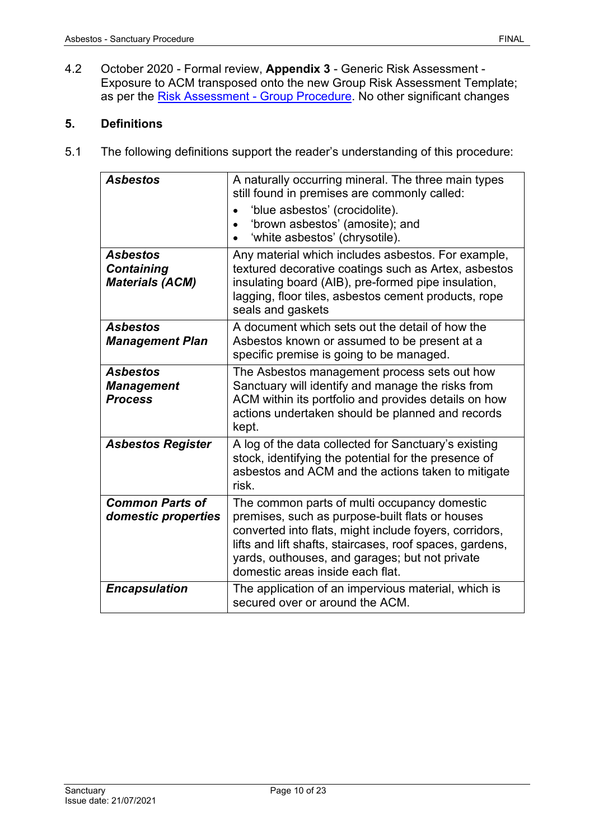4.2 October 2020 - Formal review, **Appendix 3** - Generic Risk Assessment - Exposure to ACM transposed onto the new Group Risk Assessment Template; as per the [Risk Assessment -](https://solis/PolicyManagement/policy/Policies/Forms/Policy%20Document%20Set/docsethomepage.aspx?ID=4190&FolderCTID=0x0120D52000DE99EA054D4DF944BE591D81E49729D0008C670BDB86BED740B0B89E295CD8357C&List=a03723e1-d48b-4958-9669-9b86a90ef8b0&RootFolder=%2FPolicyManagement%2Fpolicy%2FPolicies%2FRisk%20Assessment%20%2D%20Group&RecSrc=%2FPolicyManagement%2Fpolicy%2FPolicies%2FRisk%20Assessment%20%2D%20Group) Group Procedure. No other significant changes

## <span id="page-9-0"></span>**5. Definitions**

5.1 The following definitions support the reader's understanding of this procedure:

| <b>Asbestos</b>                                                | A naturally occurring mineral. The three main types<br>still found in premises are commonly called:<br>'blue asbestos' (crocidolite).<br>'brown asbestos' (amosite); and<br>'white asbestos' (chrysotile).                                                                                                  |
|----------------------------------------------------------------|-------------------------------------------------------------------------------------------------------------------------------------------------------------------------------------------------------------------------------------------------------------------------------------------------------------|
| <b>Asbestos</b><br><b>Containing</b><br><b>Materials (ACM)</b> | Any material which includes asbestos. For example,<br>textured decorative coatings such as Artex, asbestos<br>insulating board (AIB), pre-formed pipe insulation,<br>lagging, floor tiles, asbestos cement products, rope<br>seals and gaskets                                                              |
| <b>Asbestos</b><br><b>Management Plan</b>                      | A document which sets out the detail of how the<br>Asbestos known or assumed to be present at a<br>specific premise is going to be managed.                                                                                                                                                                 |
| <b>Asbestos</b><br><b>Management</b><br><b>Process</b>         | The Asbestos management process sets out how<br>Sanctuary will identify and manage the risks from<br>ACM within its portfolio and provides details on how<br>actions undertaken should be planned and records<br>kept.                                                                                      |
| <b>Asbestos Register</b>                                       | A log of the data collected for Sanctuary's existing<br>stock, identifying the potential for the presence of<br>asbestos and ACM and the actions taken to mitigate<br>risk.                                                                                                                                 |
| <b>Common Parts of</b><br>domestic properties                  | The common parts of multi occupancy domestic<br>premises, such as purpose-built flats or houses<br>converted into flats, might include foyers, corridors,<br>lifts and lift shafts, staircases, roof spaces, gardens,<br>yards, outhouses, and garages; but not private<br>domestic areas inside each flat. |
| <b>Encapsulation</b>                                           | The application of an impervious material, which is<br>secured over or around the ACM.                                                                                                                                                                                                                      |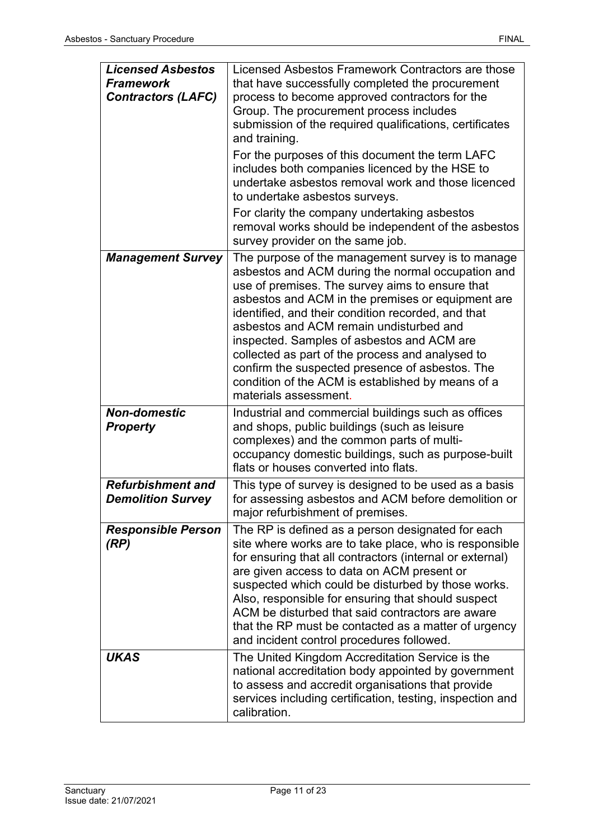| <b>Licensed Asbestos</b><br><b>Framework</b><br><b>Contractors (LAFC)</b> | Licensed Asbestos Framework Contractors are those<br>that have successfully completed the procurement<br>process to become approved contractors for the<br>Group. The procurement process includes<br>submission of the required qualifications, certificates<br>and training.                                                                                                                                                                                                                                                                     |
|---------------------------------------------------------------------------|----------------------------------------------------------------------------------------------------------------------------------------------------------------------------------------------------------------------------------------------------------------------------------------------------------------------------------------------------------------------------------------------------------------------------------------------------------------------------------------------------------------------------------------------------|
|                                                                           | For the purposes of this document the term LAFC<br>includes both companies licenced by the HSE to<br>undertake asbestos removal work and those licenced<br>to undertake asbestos surveys.                                                                                                                                                                                                                                                                                                                                                          |
|                                                                           | For clarity the company undertaking asbestos<br>removal works should be independent of the asbestos<br>survey provider on the same job.                                                                                                                                                                                                                                                                                                                                                                                                            |
| <b>Management Survey</b>                                                  | The purpose of the management survey is to manage<br>asbestos and ACM during the normal occupation and<br>use of premises. The survey aims to ensure that<br>asbestos and ACM in the premises or equipment are<br>identified, and their condition recorded, and that<br>asbestos and ACM remain undisturbed and<br>inspected. Samples of asbestos and ACM are<br>collected as part of the process and analysed to<br>confirm the suspected presence of asbestos. The<br>condition of the ACM is established by means of a<br>materials assessment. |
| <b>Non-domestic</b><br><b>Property</b>                                    | Industrial and commercial buildings such as offices<br>and shops, public buildings (such as leisure<br>complexes) and the common parts of multi-<br>occupancy domestic buildings, such as purpose-built<br>flats or houses converted into flats.                                                                                                                                                                                                                                                                                                   |
| <b>Refurbishment and</b><br><b>Demolition Survey</b>                      | This type of survey is designed to be used as a basis<br>for assessing asbestos and ACM before demolition or<br>major refurbishment of premises.                                                                                                                                                                                                                                                                                                                                                                                                   |
| <b>Responsible Person</b><br>(RP)                                         | The RP is defined as a person designated for each<br>site where works are to take place, who is responsible<br>for ensuring that all contractors (internal or external)<br>are given access to data on ACM present or<br>suspected which could be disturbed by those works.<br>Also, responsible for ensuring that should suspect<br>ACM be disturbed that said contractors are aware<br>that the RP must be contacted as a matter of urgency<br>and incident control procedures followed.                                                         |
| <b>UKAS</b>                                                               | The United Kingdom Accreditation Service is the<br>national accreditation body appointed by government<br>to assess and accredit organisations that provide<br>services including certification, testing, inspection and<br>calibration.                                                                                                                                                                                                                                                                                                           |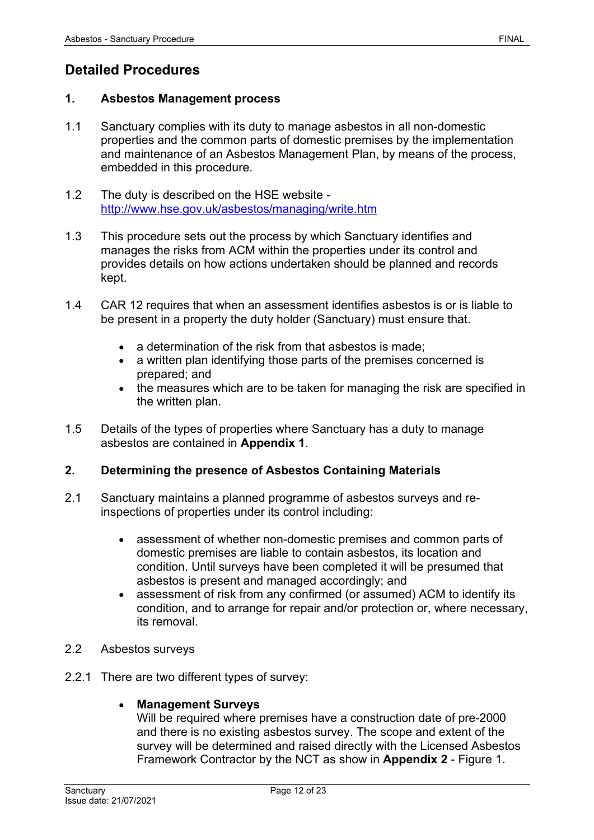# <span id="page-11-0"></span>**Detailed Procedures**

# <span id="page-11-1"></span>**1. Asbestos Management process**

- 1.1 Sanctuary complies with its duty to manage asbestos in all non-domestic properties and the common parts of domestic premises by the implementation and maintenance of an Asbestos Management Plan, by means of the process, embedded in this procedure.
- 1.2 The duty is described on the HSE website <http://www.hse.gov.uk/asbestos/managing/write.htm>
- 1.3 This procedure sets out the process by which Sanctuary identifies and manages the risks from ACM within the properties under its control and provides details on how actions undertaken should be planned and records kept.
- 1.4 CAR 12 requires that when an assessment identifies asbestos is or is liable to be present in a property the duty holder (Sanctuary) must ensure that.
	- a determination of the risk from that asbestos is made:
	- a written plan identifying those parts of the premises concerned is prepared; and
	- the measures which are to be taken for managing the risk are specified in the written plan.
- 1.5 Details of the types of properties where Sanctuary has a duty to manage asbestos are contained in **Appendix 1**.

# <span id="page-11-2"></span>**2. Determining the presence of Asbestos Containing Materials**

- 2.1 Sanctuary maintains a planned programme of asbestos surveys and reinspections of properties under its control including:
	- assessment of whether non-domestic premises and common parts of domestic premises are liable to contain asbestos, its location and condition. Until surveys have been completed it will be presumed that asbestos is present and managed accordingly; and
	- assessment of risk from any confirmed (or assumed) ACM to identify its condition, and to arrange for repair and/or protection or, where necessary, its removal.
- 2.2 Asbestos surveys
- 2.2.1 There are two different types of survey:

# • **Management Surveys**

Will be required where premises have a construction date of pre-2000 and there is no existing asbestos survey. The scope and extent of the survey will be determined and raised directly with the Licensed Asbestos Framework Contractor by the NCT as show in **Appendix 2** - Figure 1.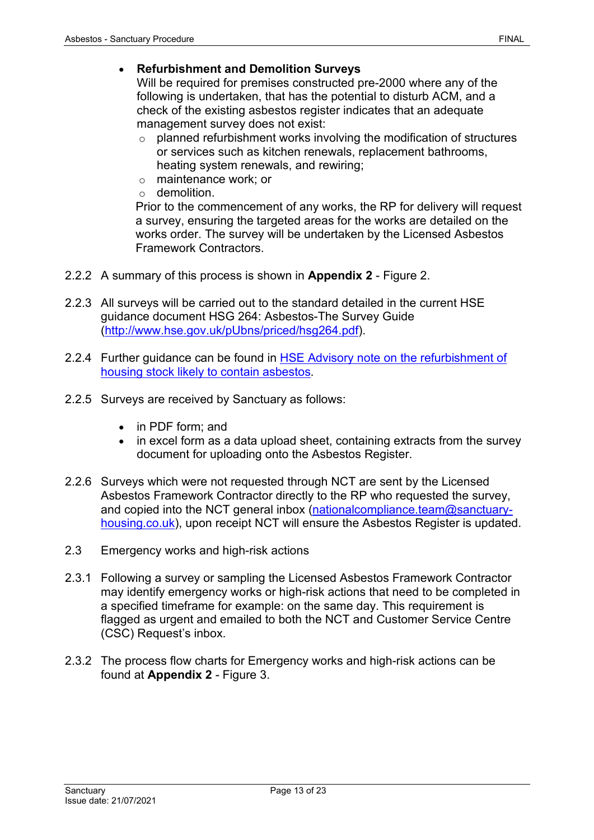#### • **Refurbishment and Demolition Surveys**

Will be required for premises constructed pre-2000 where any of the following is undertaken, that has the potential to disturb ACM, and a check of the existing asbestos register indicates that an adequate management survey does not exist:

- o planned refurbishment works involving the modification of structures or services such as kitchen renewals, replacement bathrooms, heating system renewals, and rewiring;
- o maintenance work; or
- o demolition.

Prior to the commencement of any works, the RP for delivery will request a survey, ensuring the targeted areas for the works are detailed on the works order. The survey will be undertaken by the Licensed Asbestos Framework Contractors.

- 2.2.2 A summary of this process is shown in **Appendix 2** Figure 2.
- 2.2.3 All surveys will be carried out to the standard detailed in the current HSE guidance document HSG 264: Asbestos-The Survey Guide [\(http://www.hse.gov.uk/pUbns/priced/hsg264.pdf\)](http://www.hse.gov.uk/pUbns/priced/hsg264.pdf).
- 2.2.4 Further guidance can be found in [HSE Advisory note on the refurbishment](http://www.hse.gov.uk/services/localgovernment/asbestos-guidance-refurbishment.pdf) of [housing stock likely to contain asbestos.](http://www.hse.gov.uk/services/localgovernment/asbestos-guidance-refurbishment.pdf)
- 2.2.5 Surveys are received by Sanctuary as follows:
	- in PDF form; and
	- in excel form as a data upload sheet, containing extracts from the survey document for uploading onto the Asbestos Register.
- 2.2.6 Surveys which were not requested through NCT are sent by the Licensed Asbestos Framework Contractor directly to the RP who requested the survey, and copied into the NCT general inbox [\(nationalcompliance.team@sanctuary](mailto:nationalcompliance.team@sanctuary-housing.co.uk)[housing.co.uk\)](mailto:nationalcompliance.team@sanctuary-housing.co.uk), upon receipt NCT will ensure the Asbestos Register is updated.
- 2.3 Emergency works and high-risk actions
- 2.3.1 Following a survey or sampling the Licensed Asbestos Framework Contractor may identify emergency works or high-risk actions that need to be completed in a specified timeframe for example: on the same day. This requirement is flagged as urgent and emailed to both the NCT and Customer Service Centre (CSC) Request's inbox.
- 2.3.2 The process flow charts for Emergency works and high-risk actions can be found at **Appendix 2** - Figure 3.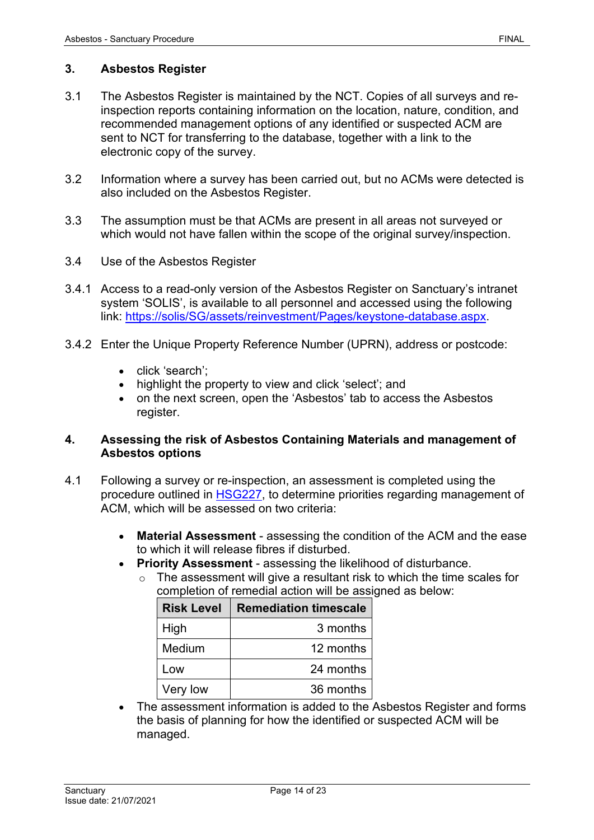# <span id="page-13-0"></span>**3. Asbestos Register**

- 3.1 The Asbestos Register is maintained by the NCT. Copies of all surveys and reinspection reports containing information on the location, nature, condition, and recommended management options of any identified or suspected ACM are sent to NCT for transferring to the database, together with a link to the electronic copy of the survey.
- 3.2 Information where a survey has been carried out, but no ACMs were detected is also included on the Asbestos Register.
- 3.3 The assumption must be that ACMs are present in all areas not surveyed or which would not have fallen within the scope of the original survey/inspection.
- 3.4 Use of the Asbestos Register
- 3.4.1 Access to a read-only version of the Asbestos Register on Sanctuary's intranet system 'SOLIS', is available to all personnel and accessed using the following link: [https://solis/SG/assets/reinvestment/Pages/keystone-database.aspx.](https://solis/SG/assets/reinvestment/Pages/keystone-database.aspx)
- 3.4.2 Enter the Unique Property Reference Number (UPRN), address or postcode:
	- click 'search';
	- highlight the property to view and click 'select'; and
	- on the next screen, open the 'Asbestos' tab to access the Asbestos register.

#### <span id="page-13-1"></span>**4. Assessing the risk of Asbestos Containing Materials and management of Asbestos options**

- 4.1 Following a survey or re-inspection, an assessment is completed using the procedure outlined in **HSG227**, to determine priorities regarding management of ACM, which will be assessed on two criteria:
	- **Material Assessment** assessing the condition of the ACM and the ease to which it will release fibres if disturbed.
	- **Priority Assessment** assessing the likelihood of disturbance.
		- $\circ$  The assessment will give a resultant risk to which the time scales for completion of remedial action will be assigned as below:

| <b>Risk Level</b> | <b>Remediation timescale</b> |
|-------------------|------------------------------|
| High              | 3 months                     |
| Medium            | 12 months                    |
| Low               | 24 months                    |
| Very low          | 36 months                    |

• The assessment information is added to the Asbestos Register and forms the basis of planning for how the identified or suspected ACM will be managed.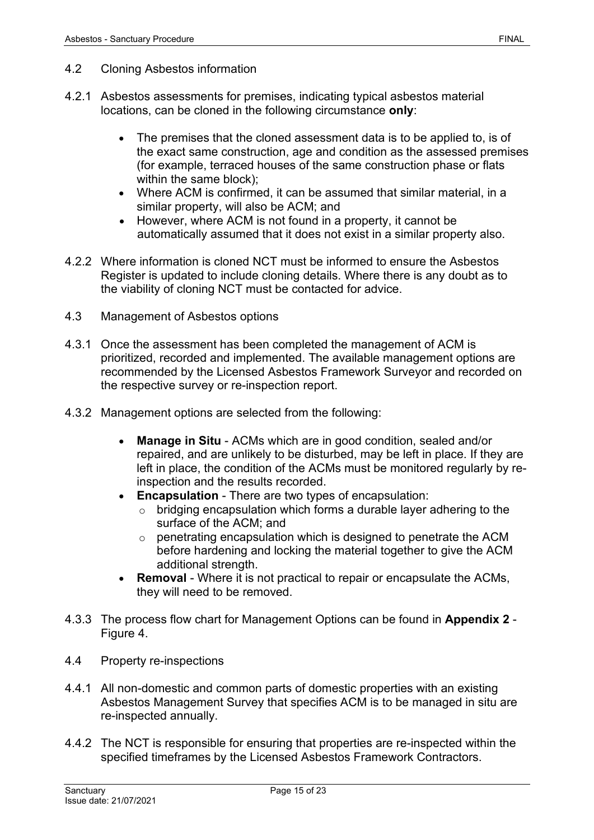- 4.2 Cloning Asbestos information
- 4.2.1 Asbestos assessments for premises, indicating typical asbestos material locations, can be cloned in the following circumstance **only**:
	- The premises that the cloned assessment data is to be applied to, is of the exact same construction, age and condition as the assessed premises (for example, terraced houses of the same construction phase or flats within the same block);
	- Where ACM is confirmed, it can be assumed that similar material, in a similar property, will also be ACM; and
	- However, where ACM is not found in a property, it cannot be automatically assumed that it does not exist in a similar property also.
- 4.2.2 Where information is cloned NCT must be informed to ensure the Asbestos Register is updated to include cloning details. Where there is any doubt as to the viability of cloning NCT must be contacted for advice.
- 4.3 Management of Asbestos options
- 4.3.1 Once the assessment has been completed the management of ACM is prioritized, recorded and implemented. The available management options are recommended by the Licensed Asbestos Framework Surveyor and recorded on the respective survey or re-inspection report.
- 4.3.2 Management options are selected from the following:
	- **Manage in Situ** ACMs which are in good condition, sealed and/or repaired, and are unlikely to be disturbed, may be left in place. If they are left in place, the condition of the ACMs must be monitored regularly by reinspection and the results recorded.
	- **Encapsulation** There are two types of encapsulation:
		- o bridging encapsulation which forms a durable layer adhering to the surface of the ACM; and
		- o penetrating encapsulation which is designed to penetrate the ACM before hardening and locking the material together to give the ACM additional strength.
	- **Removal** Where it is not practical to repair or encapsulate the ACMs, they will need to be removed.
- 4.3.3 The process flow chart for Management Options can be found in **Appendix 2** Figure 4.
- 4.4 Property re-inspections
- 4.4.1 All non-domestic and common parts of domestic properties with an existing Asbestos Management Survey that specifies ACM is to be managed in situ are re-inspected annually.
- 4.4.2 The NCT is responsible for ensuring that properties are re-inspected within the specified timeframes by the Licensed Asbestos Framework Contractors.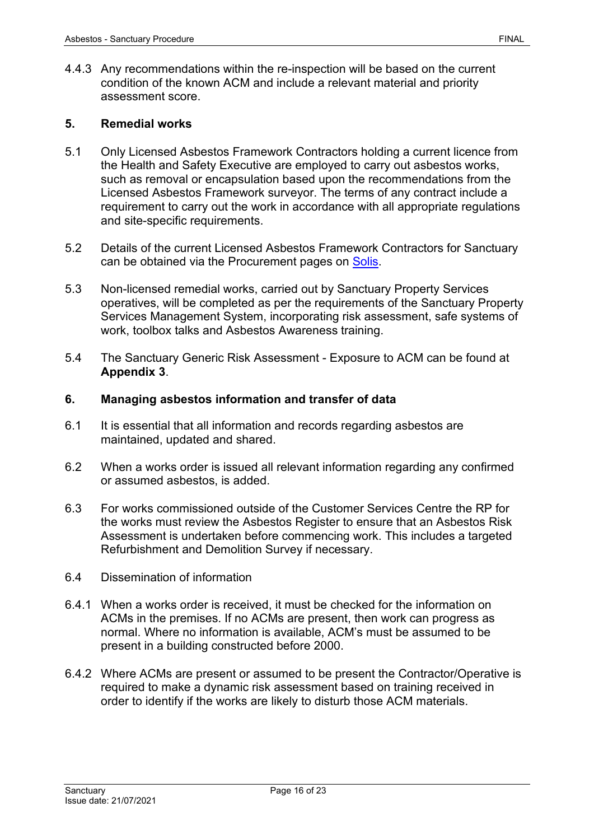4.4.3 Any recommendations within the re-inspection will be based on the current condition of the known ACM and include a relevant material and priority assessment score.

#### <span id="page-15-0"></span>**5. Remedial works**

- 5.1 Only Licensed Asbestos Framework Contractors holding a current licence from the Health and Safety Executive are employed to carry out asbestos works, such as removal or encapsulation based upon the recommendations from the Licensed Asbestos Framework surveyor. The terms of any contract include a requirement to carry out the work in accordance with all appropriate regulations and site-specific requirements.
- 5.2 Details of the current Licensed Asbestos Framework Contractors for Sanctuary can be obtained via the Procurement pages on [Solis.](https://solis/SG/PServices/goods-services-suppliers/Pages/Supplier%20Directory.aspx)
- 5.3 Non-licensed remedial works, carried out by Sanctuary Property Services operatives, will be completed as per the requirements of the Sanctuary Property Services Management System, incorporating risk assessment, safe systems of work, toolbox talks and Asbestos Awareness training.
- 5.4 The Sanctuary Generic Risk Assessment Exposure to ACM can be found at **Appendix 3**.

#### <span id="page-15-1"></span>**6. Managing asbestos information and transfer of data**

- 6.1 It is essential that all information and records regarding asbestos are maintained, updated and shared.
- 6.2 When a works order is issued all relevant information regarding any confirmed or assumed asbestos, is added.
- 6.3 For works commissioned outside of the Customer Services Centre the RP for the works must review the Asbestos Register to ensure that an Asbestos Risk Assessment is undertaken before commencing work. This includes a targeted Refurbishment and Demolition Survey if necessary.
- 6.4 Dissemination of information
- 6.4.1 When a works order is received, it must be checked for the information on ACMs in the premises. If no ACMs are present, then work can progress as normal. Where no information is available, ACM's must be assumed to be present in a building constructed before 2000.
- 6.4.2 Where ACMs are present or assumed to be present the Contractor/Operative is required to make a dynamic risk assessment based on training received in order to identify if the works are likely to disturb those ACM materials.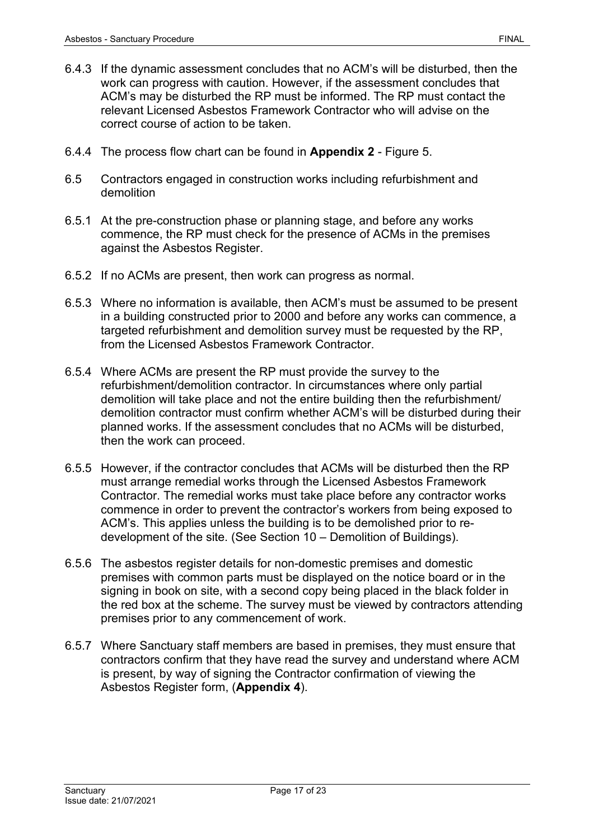- 6.4.3 If the dynamic assessment concludes that no ACM's will be disturbed, then the work can progress with caution. However, if the assessment concludes that ACM's may be disturbed the RP must be informed. The RP must contact the relevant Licensed Asbestos Framework Contractor who will advise on the correct course of action to be taken.
- 6.4.4 The process flow chart can be found in **Appendix 2** Figure 5.
- 6.5 Contractors engaged in construction works including refurbishment and demolition
- 6.5.1 At the pre-construction phase or planning stage, and before any works commence, the RP must check for the presence of ACMs in the premises against the Asbestos Register.
- 6.5.2 If no ACMs are present, then work can progress as normal.
- 6.5.3 Where no information is available, then ACM's must be assumed to be present in a building constructed prior to 2000 and before any works can commence, a targeted refurbishment and demolition survey must be requested by the RP, from the Licensed Asbestos Framework Contractor.
- 6.5.4 Where ACMs are present the RP must provide the survey to the refurbishment/demolition contractor. In circumstances where only partial demolition will take place and not the entire building then the refurbishment/ demolition contractor must confirm whether ACM's will be disturbed during their planned works. If the assessment concludes that no ACMs will be disturbed, then the work can proceed.
- 6.5.5 However, if the contractor concludes that ACMs will be disturbed then the RP must arrange remedial works through the Licensed Asbestos Framework Contractor. The remedial works must take place before any contractor works commence in order to prevent the contractor's workers from being exposed to ACM's. This applies unless the building is to be demolished prior to redevelopment of the site. (See Section 10 – Demolition of Buildings).
- 6.5.6 The asbestos register details for non-domestic premises and domestic premises with common parts must be displayed on the notice board or in the signing in book on site, with a second copy being placed in the black folder in the red box at the scheme. The survey must be viewed by contractors attending premises prior to any commencement of work.
- 6.5.7 Where Sanctuary staff members are based in premises, they must ensure that contractors confirm that they have read the survey and understand where ACM is present, by way of signing the Contractor confirmation of viewing the Asbestos Register form, (**Appendix 4**).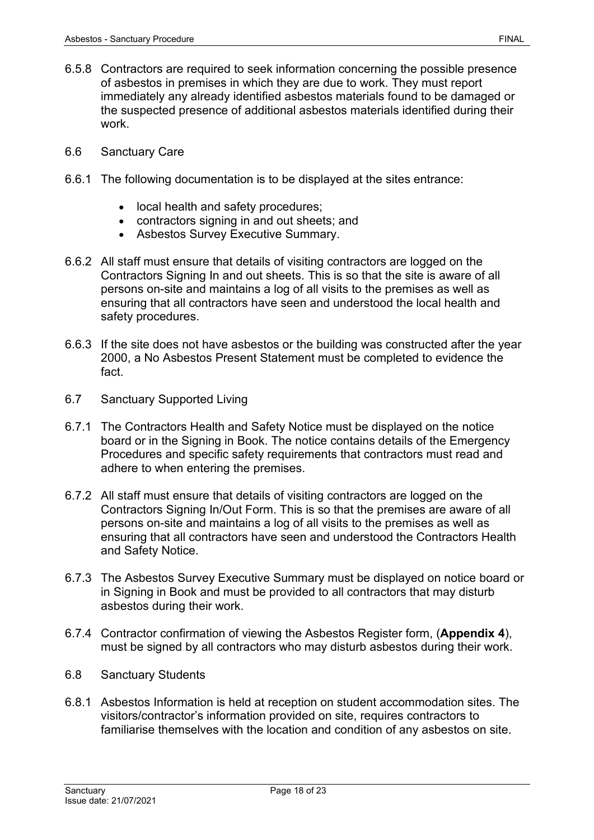- 6.5.8 Contractors are required to seek information concerning the possible presence of asbestos in premises in which they are due to work. They must report immediately any already identified asbestos materials found to be damaged or the suspected presence of additional asbestos materials identified during their work.
- 6.6 Sanctuary Care
- 6.6.1 The following documentation is to be displayed at the sites entrance:
	- local health and safety procedures;
	- contractors signing in and out sheets; and
	- Asbestos Survey Executive Summary.
- 6.6.2 All staff must ensure that details of visiting contractors are logged on the Contractors Signing In and out sheets. This is so that the site is aware of all persons on-site and maintains a log of all visits to the premises as well as ensuring that all contractors have seen and understood the local health and safety procedures.
- 6.6.3 If the site does not have asbestos or the building was constructed after the year 2000, a No Asbestos Present Statement must be completed to evidence the fact.
- 6.7 Sanctuary Supported Living
- 6.7.1 The Contractors Health and Safety Notice must be displayed on the notice board or in the Signing in Book. The notice contains details of the Emergency Procedures and specific safety requirements that contractors must read and adhere to when entering the premises.
- 6.7.2 All staff must ensure that details of visiting contractors are logged on the Contractors Signing In/Out Form. This is so that the premises are aware of all persons on-site and maintains a log of all visits to the premises as well as ensuring that all contractors have seen and understood the Contractors Health and Safety Notice.
- 6.7.3 The Asbestos Survey Executive Summary must be displayed on notice board or in Signing in Book and must be provided to all contractors that may disturb asbestos during their work.
- 6.7.4 Contractor confirmation of viewing the Asbestos Register form, (**Appendix 4**), must be signed by all contractors who may disturb asbestos during their work.
- 6.8 Sanctuary Students
- 6.8.1 Asbestos Information is held at reception on student accommodation sites. The visitors/contractor's information provided on site, requires contractors to familiarise themselves with the location and condition of any asbestos on site.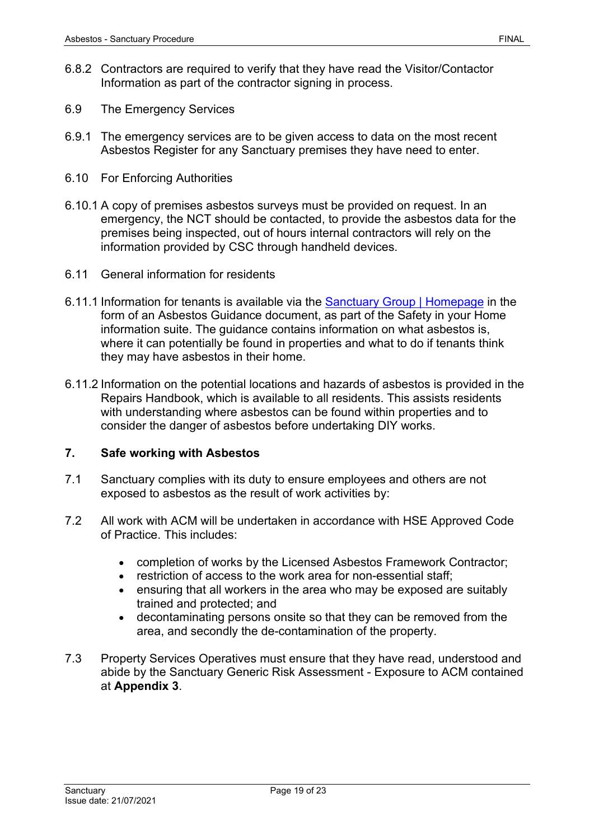- 6.8.2 Contractors are required to verify that they have read the Visitor/Contactor Information as part of the contractor signing in process.
- 6.9 The Emergency Services
- 6.9.1 The emergency services are to be given access to data on the most recent Asbestos Register for any Sanctuary premises they have need to enter.
- 6.10 For Enforcing Authorities
- 6.10.1 A copy of premises asbestos surveys must be provided on request. In an emergency, the NCT should be contacted, to provide the asbestos data for the premises being inspected, out of hours internal contractors will rely on the information provided by CSC through handheld devices.
- 6.11 General information for residents
- 6.11.1 Information for tenants is available via the [Sanctuary Group | Homepage](https://www.sanctuary-group.co.uk/) in the form of an Asbestos Guidance document, as part of the Safety in your Home information suite. The guidance contains information on what asbestos is, where it can potentially be found in properties and what to do if tenants think they may have asbestos in their home.
- 6.11.2 Information on the potential locations and hazards of asbestos is provided in the Repairs Handbook, which is available to all residents. This assists residents with understanding where asbestos can be found within properties and to consider the danger of asbestos before undertaking DIY works.

# <span id="page-18-0"></span>**7. Safe working with Asbestos**

- 7.1 Sanctuary complies with its duty to ensure employees and others are not exposed to asbestos as the result of work activities by:
- 7.2 All work with ACM will be undertaken in accordance with HSE Approved Code of Practice. This includes:
	- completion of works by the Licensed Asbestos Framework Contractor;
	- restriction of access to the work area for non-essential staff;
	- ensuring that all workers in the area who may be exposed are suitably trained and protected; and
	- decontaminating persons onsite so that they can be removed from the area, and secondly the de-contamination of the property.
- 7.3 Property Services Operatives must ensure that they have read, understood and abide by the Sanctuary Generic Risk Assessment - Exposure to ACM contained at **Appendix 3**.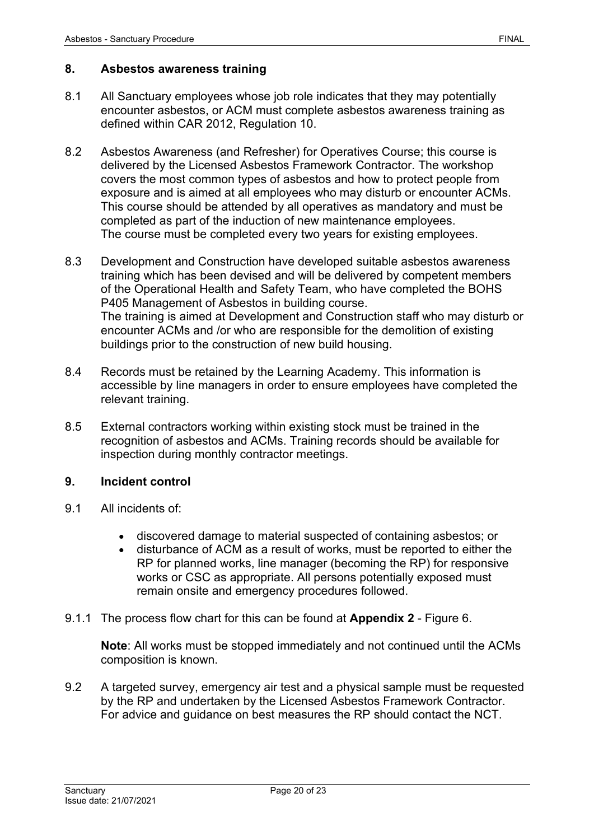#### <span id="page-19-0"></span>**8. Asbestos awareness training**

- 8.1 All Sanctuary employees whose job role indicates that they may potentially encounter asbestos, or ACM must complete asbestos awareness training as defined within CAR 2012, Regulation 10.
- 8.2 Asbestos Awareness (and Refresher) for Operatives Course; this course is delivered by the Licensed Asbestos Framework Contractor. The workshop covers the most common types of asbestos and how to protect people from exposure and is aimed at all employees who may disturb or encounter ACMs. This course should be attended by all operatives as mandatory and must be completed as part of the induction of new maintenance employees. The course must be completed every two years for existing employees.
- 8.3 Development and Construction have developed suitable asbestos awareness training which has been devised and will be delivered by competent members of the Operational Health and Safety Team, who have completed the BOHS P405 Management of Asbestos in building course. The training is aimed at Development and Construction staff who may disturb or encounter ACMs and /or who are responsible for the demolition of existing buildings prior to the construction of new build housing.
- 8.4 Records must be retained by the Learning Academy. This information is accessible by line managers in order to ensure employees have completed the relevant training.
- 8.5 External contractors working within existing stock must be trained in the recognition of asbestos and ACMs. Training records should be available for inspection during monthly contractor meetings.

## <span id="page-19-1"></span>**9. Incident control**

- 9.1 All incidents of:
	- discovered damage to material suspected of containing asbestos; or
	- disturbance of ACM as a result of works, must be reported to either the RP for planned works, line manager (becoming the RP) for responsive works or CSC as appropriate. All persons potentially exposed must remain onsite and emergency procedures followed.
- 9.1.1 The process flow chart for this can be found at **Appendix 2** Figure 6.

**Note**: All works must be stopped immediately and not continued until the ACMs composition is known.

9.2 A targeted survey, emergency air test and a physical sample must be requested by the RP and undertaken by the Licensed Asbestos Framework Contractor. For advice and guidance on best measures the RP should contact the NCT.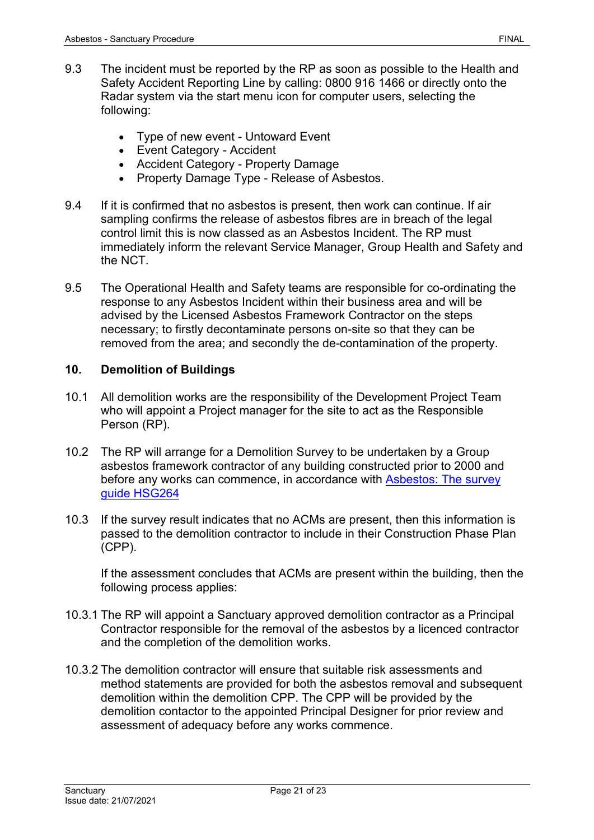- 9.3 The incident must be reported by the RP as soon as possible to the Health and Safety Accident Reporting Line by calling: 0800 916 1466 or directly onto the Radar system via the start menu icon for computer users, selecting the following:
	- Type of new event Untoward Event
	- Event Category Accident
	- Accident Category Property Damage
	- Property Damage Type Release of Asbestos.
- 9.4 If it is confirmed that no asbestos is present, then work can continue. If air sampling confirms the release of asbestos fibres are in breach of the legal control limit this is now classed as an Asbestos Incident. The RP must immediately inform the relevant Service Manager, Group Health and Safety and the NCT.
- 9.5 The Operational Health and Safety teams are responsible for co-ordinating the response to any Asbestos Incident within their business area and will be advised by the Licensed Asbestos Framework Contractor on the steps necessary; to firstly decontaminate persons on-site so that they can be removed from the area; and secondly the de-contamination of the property.

#### <span id="page-20-0"></span>**10. Demolition of Buildings**

- 10.1 All demolition works are the responsibility of the Development Project Team who will appoint a Project manager for the site to act as the Responsible Person (RP).
- 10.2 The RP will arrange for a Demolition Survey to be undertaken by a Group asbestos framework contractor of any building constructed prior to 2000 and before any works can commence, in accordance with Asbestos: [The survey](https://www.hse.gov.uk/pubns/priced/hsg264.pdf) [guide HSG264](https://www.hse.gov.uk/pubns/priced/hsg264.pdf)
- 10.3 If the survey result indicates that no ACMs are present, then this information is passed to the demolition contractor to include in their Construction Phase Plan (CPP).

If the assessment concludes that ACMs are present within the building, then the following process applies:

- 10.3.1 The RP will appoint a Sanctuary approved demolition contractor as a Principal Contractor responsible for the removal of the asbestos by a licenced contractor and the completion of the demolition works.
- 10.3.2 The demolition contractor will ensure that suitable risk assessments and method statements are provided for both the asbestos removal and subsequent demolition within the demolition CPP. The CPP will be provided by the demolition contactor to the appointed Principal Designer for prior review and assessment of adequacy before any works commence.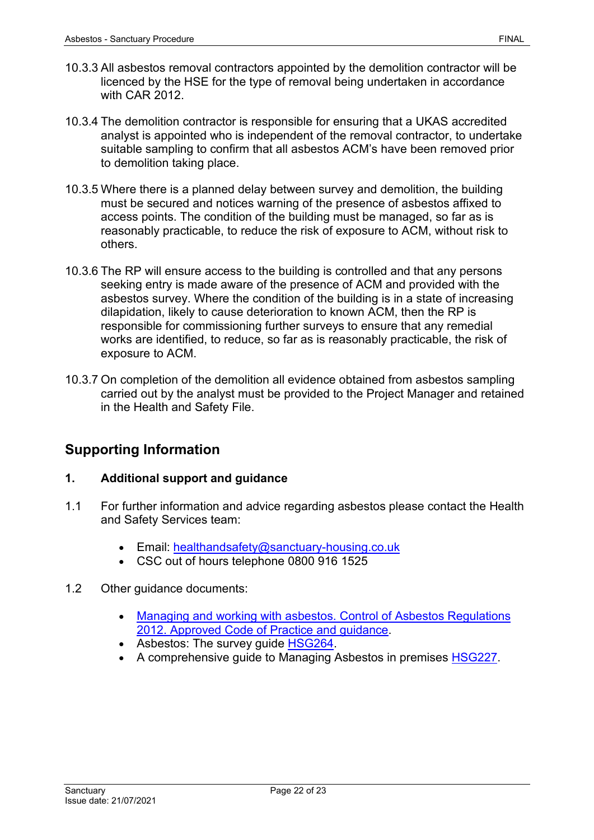- 10.3.3 All asbestos removal contractors appointed by the demolition contractor will be licenced by the HSE for the type of removal being undertaken in accordance with CAR 2012.
- 10.3.4 The demolition contractor is responsible for ensuring that a UKAS accredited analyst is appointed who is independent of the removal contractor, to undertake suitable sampling to confirm that all asbestos ACM's have been removed prior to demolition taking place.
- 10.3.5 Where there is a planned delay between survey and demolition, the building must be secured and notices warning of the presence of asbestos affixed to access points. The condition of the building must be managed, so far as is reasonably practicable, to reduce the risk of exposure to ACM, without risk to others.
- 10.3.6 The RP will ensure access to the building is controlled and that any persons seeking entry is made aware of the presence of ACM and provided with the asbestos survey. Where the condition of the building is in a state of increasing dilapidation, likely to cause deterioration to known ACM, then the RP is responsible for commissioning further surveys to ensure that any remedial works are identified, to reduce, so far as is reasonably practicable, the risk of exposure to ACM.
- 10.3.7 On completion of the demolition all evidence obtained from asbestos sampling carried out by the analyst must be provided to the Project Manager and retained in the Health and Safety File.

# <span id="page-21-0"></span>**Supporting Information**

## <span id="page-21-1"></span>**1. Additional support and guidance**

- 1.1 For further information and advice regarding asbestos please contact the Health and Safety Services team:
	- Email: [healthandsafety@sanctuary-housing.co.uk](mailto:healthandsafety@sanctuary-housing.co.uk)
	- CSC out of hours telephone 0800 916 1525
- 1.2 Other guidance documents:
	- [Managing and working with asbestos. Control](http://www.hse.gov.uk/pubns/books/l143.htm) of Asbestos Regulations [2012. Approved Code of Practice and guidance.](http://www.hse.gov.uk/pubns/books/l143.htm)
	- Asbestos: The survey guide [HSG264.](http://www.hse.gov.uk/pUbns/priced/hsg264.pdf)
	- A comprehensive quide to Managing Asbestos in premises [HSG227.](http://www.hse.gov.uk/pubns/priced/hsg227.pdf)